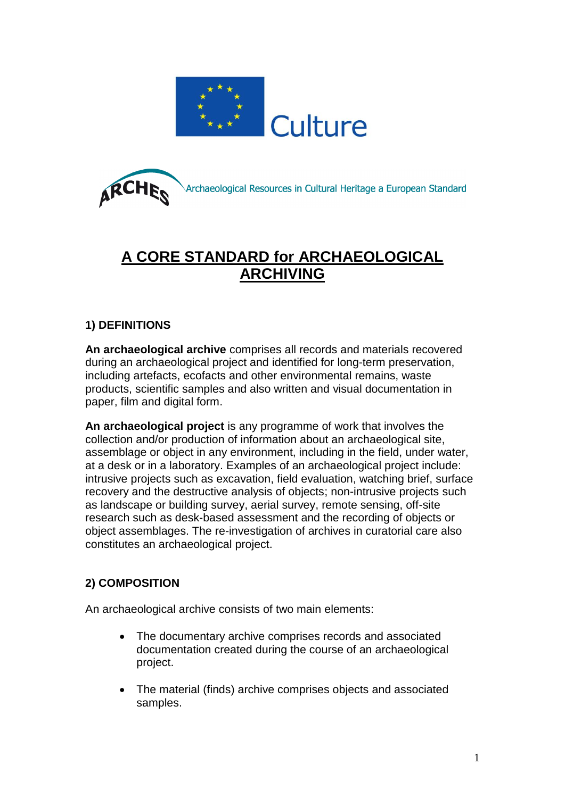



# **A CORE STANDARD for ARCHAEOLOGICAL ARCHIVING**

## **1) DEFINITIONS**

**An archaeological archive** comprises all records and materials recovered during an archaeological project and identified for long-term preservation, including artefacts, ecofacts and other environmental remains, waste products, scientific samples and also written and visual documentation in paper, film and digital form.

**An archaeological project** is any programme of work that involves the collection and/or production of information about an archaeological site, assemblage or object in any environment, including in the field, under water, at a desk or in a laboratory. Examples of an archaeological project include: intrusive projects such as excavation, field evaluation, watching brief, surface recovery and the destructive analysis of objects; non-intrusive projects such as landscape or building survey, aerial survey, remote sensing, off-site research such as desk-based assessment and the recording of objects or object assemblages. The re-investigation of archives in curatorial care also constitutes an archaeological project.

# **2) COMPOSITION**

An archaeological archive consists of two main elements:

- The documentary archive comprises records and associated documentation created during the course of an archaeological project.
- The material (finds) archive comprises objects and associated samples.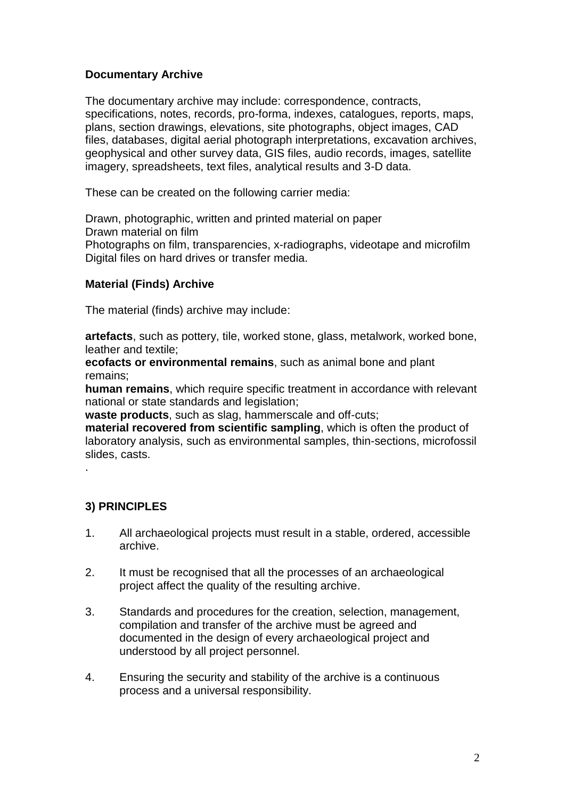## **Documentary Archive**

The documentary archive may include: correspondence, contracts, specifications, notes, records, pro-forma, indexes, catalogues, reports, maps, plans, section drawings, elevations, site photographs, object images, CAD files, databases, digital aerial photograph interpretations, excavation archives, geophysical and other survey data, GIS files, audio records, images, satellite imagery, spreadsheets, text files, analytical results and 3-D data.

These can be created on the following carrier media:

Drawn, photographic, written and printed material on paper Drawn material on film Photographs on film, transparencies, x-radiographs, videotape and microfilm Digital files on hard drives or transfer media.

#### **Material (Finds) Archive**

The material (finds) archive may include:

**artefacts**, such as pottery, tile, worked stone, glass, metalwork, worked bone, leather and textile;

**ecofacts or environmental remains**, such as animal bone and plant remains;

**human remains**, which require specific treatment in accordance with relevant national or state standards and legislation;

**waste products**, such as slag, hammerscale and off-cuts;

**material recovered from scientific sampling**, which is often the product of laboratory analysis, such as environmental samples, thin-sections, microfossil slides, casts.

.

# **3) PRINCIPLES**

- 1. All archaeological projects must result in a stable, ordered, accessible archive.
- 2. It must be recognised that all the processes of an archaeological project affect the quality of the resulting archive.
- 3. Standards and procedures for the creation, selection, management, compilation and transfer of the archive must be agreed and documented in the design of every archaeological project and understood by all project personnel.
- 4. Ensuring the security and stability of the archive is a continuous process and a universal responsibility.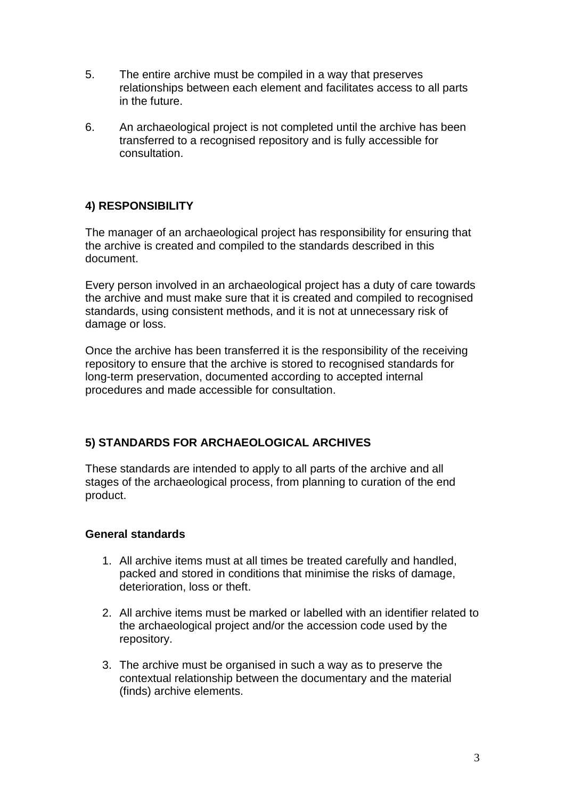- 5. The entire archive must be compiled in a way that preserves relationships between each element and facilitates access to all parts in the future.
- 6. An archaeological project is not completed until the archive has been transferred to a recognised repository and is fully accessible for consultation.

# **4) RESPONSIBILITY**

The manager of an archaeological project has responsibility for ensuring that the archive is created and compiled to the standards described in this document.

Every person involved in an archaeological project has a duty of care towards the archive and must make sure that it is created and compiled to recognised standards, using consistent methods, and it is not at unnecessary risk of damage or loss.

Once the archive has been transferred it is the responsibility of the receiving repository to ensure that the archive is stored to recognised standards for long-term preservation, documented according to accepted internal procedures and made accessible for consultation.

## **5) STANDARDS FOR ARCHAEOLOGICAL ARCHIVES**

These standards are intended to apply to all parts of the archive and all stages of the archaeological process, from planning to curation of the end product.

#### **General standards**

- 1. All archive items must at all times be treated carefully and handled, packed and stored in conditions that minimise the risks of damage, deterioration, loss or theft.
- 2. All archive items must be marked or labelled with an identifier related to the archaeological project and/or the accession code used by the repository.
- 3. The archive must be organised in such a way as to preserve the contextual relationship between the documentary and the material (finds) archive elements.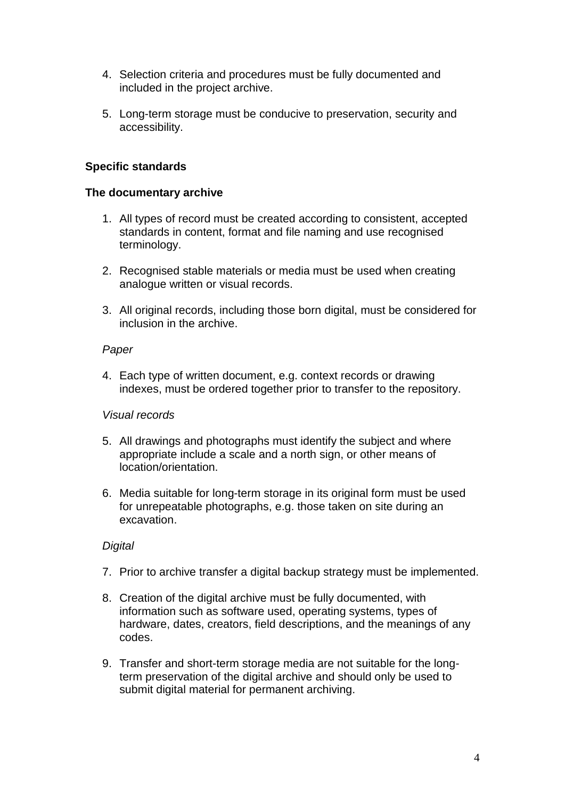- 4. Selection criteria and procedures must be fully documented and included in the project archive.
- 5. Long-term storage must be conducive to preservation, security and accessibility.

### **Specific standards**

#### **The documentary archive**

- 1. All types of record must be created according to consistent, accepted standards in content, format and file naming and use recognised terminology.
- 2. Recognised stable materials or media must be used when creating analogue written or visual records.
- 3. All original records, including those born digital, must be considered for inclusion in the archive.

#### *Paper*

4. Each type of written document, e.g. context records or drawing indexes, must be ordered together prior to transfer to the repository.

#### *Visual records*

- 5. All drawings and photographs must identify the subject and where appropriate include a scale and a north sign, or other means of location/orientation.
- 6. Media suitable for long-term storage in its original form must be used for unrepeatable photographs, e.g. those taken on site during an excavation.

#### *Digital*

- 7. Prior to archive transfer a digital backup strategy must be implemented.
- 8. Creation of the digital archive must be fully documented, with information such as software used, operating systems, types of hardware, dates, creators, field descriptions, and the meanings of any codes.
- 9. Transfer and short-term storage media are not suitable for the longterm preservation of the digital archive and should only be used to submit digital material for permanent archiving.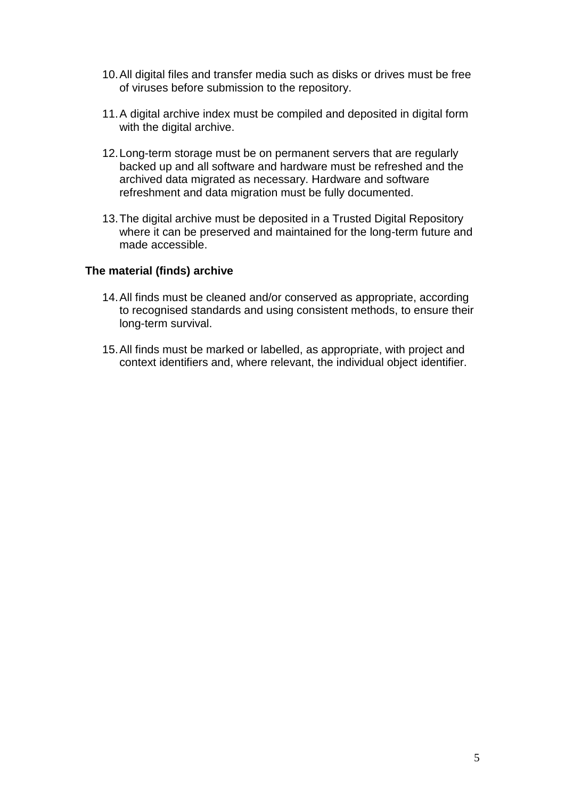- 10.All digital files and transfer media such as disks or drives must be free of viruses before submission to the repository.
- 11.A digital archive index must be compiled and deposited in digital form with the digital archive.
- 12.Long-term storage must be on permanent servers that are regularly backed up and all software and hardware must be refreshed and the archived data migrated as necessary. Hardware and software refreshment and data migration must be fully documented.
- 13.The digital archive must be deposited in a Trusted Digital Repository where it can be preserved and maintained for the long-term future and made accessible.

#### **The material (finds) archive**

- 14.All finds must be cleaned and/or conserved as appropriate, according to recognised standards and using consistent methods, to ensure their long-term survival.
- 15.All finds must be marked or labelled, as appropriate, with project and context identifiers and, where relevant, the individual object identifier.